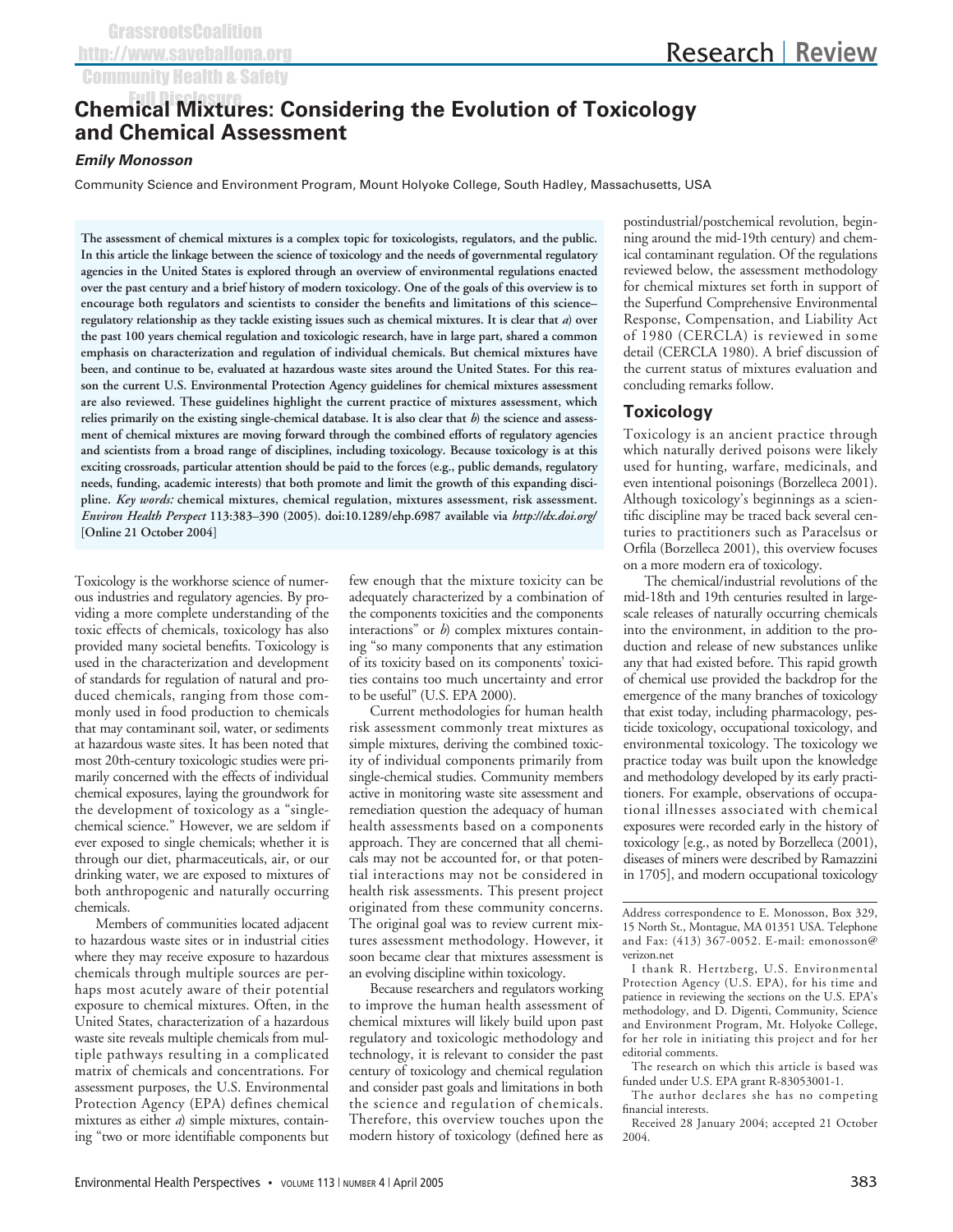# **Chemical Mixtures: Considering the Evolution of Toxicology and Chemical Assessment**

### **Emily Monosson**

Community Science and Environment Program, Mount Holyoke College, South Hadley, Massachusetts, USA

**The assessment of chemical mixtures is a complex topic for toxicologists, regulators, and the public. In this article the linkage between the science of toxicology and the needs of governmental regulatory agencies in the United States is explored through an overview of environmental regulations enacted over the past century and a brief history of modern toxicology. One of the goals of this overview is to encourage both regulators and scientists to consider the benefits and limitations of this science– regulatory relationship as they tackle existing issues such as chemical mixtures. It is clear that** *a***) over the past 100 years chemical regulation and toxicologic research, have in large part, shared a common emphasis on characterization and regulation of individual chemicals. But chemical mixtures have been, and continue to be, evaluated at hazardous waste sites around the United States. For this reason the current U.S. Environmental Protection Agency guidelines for chemical mixtures assessment are also reviewed. These guidelines highlight the current practice of mixtures assessment, which relies primarily on the existing single-chemical database. It is also clear that** *b***) the science and assessment of chemical mixtures are moving forward through the combined efforts of regulatory agencies and scientists from a broad range of disciplines, including toxicology. Because toxicology is at this exciting crossroads, particular attention should be paid to the forces (e.g., public demands, regulatory needs, funding, academic interests) that both promote and limit the growth of this expanding discipline.** *Key words:* **chemical mixtures, chemical regulation, mixtures assessment, risk assessment.** *Environ Health Perspect* **113:383–390 (2005). doi:10.1289/ehp.6987 available via** *http://dx.doi.org/* **[Online 21 October 2004]**

Toxicology is the workhorse science of numerous industries and regulatory agencies. By providing a more complete understanding of the toxic effects of chemicals, toxicology has also provided many societal benefits. Toxicology is used in the characterization and development of standards for regulation of natural and produced chemicals, ranging from those commonly used in food production to chemicals that may contaminant soil, water, or sediments at hazardous waste sites. It has been noted that most 20th-century toxicologic studies were primarily concerned with the effects of individual chemical exposures, laying the groundwork for the development of toxicology as a "singlechemical science." However, we are seldom if ever exposed to single chemicals; whether it is through our diet, pharmaceuticals, air, or our drinking water, we are exposed to mixtures of both anthropogenic and naturally occurring chemicals.

Members of communities located adjacent to hazardous waste sites or in industrial cities where they may receive exposure to hazardous chemicals through multiple sources are perhaps most acutely aware of their potential exposure to chemical mixtures. Often, in the United States, characterization of a hazardous waste site reveals multiple chemicals from multiple pathways resulting in a complicated matrix of chemicals and concentrations. For assessment purposes, the U.S. Environmental Protection Agency (EPA) defines chemical mixtures as either *a*) simple mixtures, containing "two or more identifiable components but

few enough that the mixture toxicity can be adequately characterized by a combination of the components toxicities and the components interactions" or *b*) complex mixtures containing "so many components that any estimation of its toxicity based on its components' toxicities contains too much uncertainty and error to be useful" (U.S. EPA 2000).

Current methodologies for human health risk assessment commonly treat mixtures as simple mixtures, deriving the combined toxicity of individual components primarily from single-chemical studies. Community members active in monitoring waste site assessment and remediation question the adequacy of human health assessments based on a components approach. They are concerned that all chemicals may not be accounted for, or that potential interactions may not be considered in health risk assessments. This present project originated from these community concerns. The original goal was to review current mixtures assessment methodology. However, it soon became clear that mixtures assessment is an evolving discipline within toxicology.

Because researchers and regulators working to improve the human health assessment of chemical mixtures will likely build upon past regulatory and toxicologic methodology and technology, it is relevant to consider the past century of toxicology and chemical regulation and consider past goals and limitations in both the science and regulation of chemicals. Therefore, this overview touches upon the modern history of toxicology (defined here as

postindustrial/postchemical revolution, beginning around the mid-19th century) and chemical contaminant regulation. Of the regulations reviewed below, the assessment methodology for chemical mixtures set forth in support of the Superfund Comprehensive Environmental Response, Compensation, and Liability Act of 1980 (CERCLA) is reviewed in some detail (CERCLA 1980). A brief discussion of the current status of mixtures evaluation and concluding remarks follow.

### **Toxicology**

Toxicology is an ancient practice through which naturally derived poisons were likely used for hunting, warfare, medicinals, and even intentional poisonings (Borzelleca 2001). Although toxicology's beginnings as a scientific discipline may be traced back several centuries to practitioners such as Paracelsus or Orfila (Borzelleca 2001), this overview focuses on a more modern era of toxicology.

The chemical/industrial revolutions of the mid-18th and 19th centuries resulted in largescale releases of naturally occurring chemicals into the environment, in addition to the production and release of new substances unlike any that had existed before. This rapid growth of chemical use provided the backdrop for the emergence of the many branches of toxicology that exist today, including pharmacology, pesticide toxicology, occupational toxicology, and environmental toxicology. The toxicology we practice today was built upon the knowledge and methodology developed by its early practitioners. For example, observations of occupational illnesses associated with chemical exposures were recorded early in the history of toxicology [e.g., as noted by Borzelleca (2001), diseases of miners were described by Ramazzini in 1705], and modern occupational toxicology

Address correspondence to E. Monosson, Box 329, 15 North St., Montague, MA 01351 USA. Telephone and Fax: (413) 367-0052. E-mail: emonosson@ verizon.net

I thank R. Hertzberg, U.S. Environmental Protection Agency (U.S. EPA), for his time and patience in reviewing the sections on the U.S. EPA's methodology, and D. Digenti, Community, Science and Environment Program, Mt. Holyoke College, for her role in initiating this project and for her editorial comments.

The research on which this article is based was funded under U.S. EPA grant R-83053001-1.

The author declares she has no competing financial interests.

Received 28 January 2004; accepted 21 October 2004.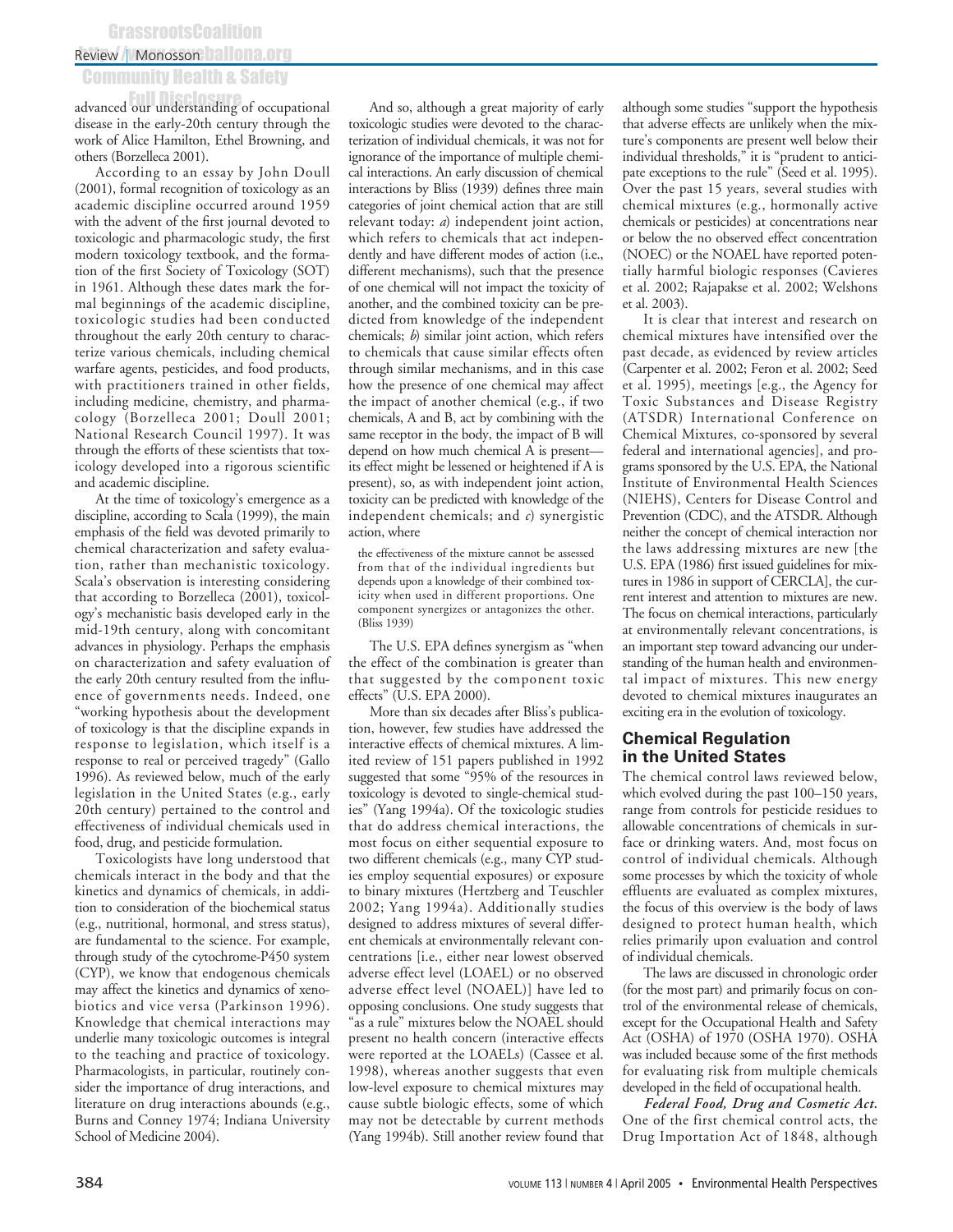## Review | Monosson hallona.org **GrassrootsCoalition**

## Community Health & Safety

advanced our understanding of occupational disease in the early-20th century through the work of Alice Hamilton, Ethel Browning, and others (Borzelleca 2001).

According to an essay by John Doull (2001), formal recognition of toxicology as an academic discipline occurred around 1959 with the advent of the first journal devoted to toxicologic and pharmacologic study, the first modern toxicology textbook, and the formation of the first Society of Toxicology (SOT) in 1961. Although these dates mark the formal beginnings of the academic discipline, toxicologic studies had been conducted throughout the early 20th century to characterize various chemicals, including chemical warfare agents, pesticides, and food products, with practitioners trained in other fields, including medicine, chemistry, and pharmacology (Borzelleca 2001; Doull 2001; National Research Council 1997). It was through the efforts of these scientists that toxicology developed into a rigorous scientific and academic discipline.

At the time of toxicology's emergence as a discipline, according to Scala (1999), the main emphasis of the field was devoted primarily to chemical characterization and safety evaluation, rather than mechanistic toxicology. Scala's observation is interesting considering that according to Borzelleca (2001), toxicology's mechanistic basis developed early in the mid-19th century, along with concomitant advances in physiology. Perhaps the emphasis on characterization and safety evaluation of the early 20th century resulted from the influence of governments needs. Indeed, one "working hypothesis about the development of toxicology is that the discipline expands in response to legislation, which itself is a response to real or perceived tragedy" (Gallo 1996). As reviewed below, much of the early legislation in the United States (e.g., early 20th century) pertained to the control and effectiveness of individual chemicals used in food, drug, and pesticide formulation.

Toxicologists have long understood that chemicals interact in the body and that the kinetics and dynamics of chemicals, in addition to consideration of the biochemical status (e.g., nutritional, hormonal, and stress status), are fundamental to the science. For example, through study of the cytochrome-P450 system (CYP), we know that endogenous chemicals may affect the kinetics and dynamics of xenobiotics and vice versa (Parkinson 1996). Knowledge that chemical interactions may underlie many toxicologic outcomes is integral to the teaching and practice of toxicology. Pharmacologists, in particular, routinely consider the importance of drug interactions, and literature on drug interactions abounds (e.g., Burns and Conney 1974; Indiana University School of Medicine 2004).

And so, although a great majority of early toxicologic studies were devoted to the characterization of individual chemicals, it was not for ignorance of the importance of multiple chemical interactions. An early discussion of chemical interactions by Bliss (1939) defines three main categories of joint chemical action that are still relevant today: *a*) independent joint action, which refers to chemicals that act independently and have different modes of action (i.e., different mechanisms), such that the presence of one chemical will not impact the toxicity of another, and the combined toxicity can be predicted from knowledge of the independent chemicals; *b*) similar joint action, which refers to chemicals that cause similar effects often through similar mechanisms, and in this case how the presence of one chemical may affect the impact of another chemical (e.g., if two chemicals, A and B, act by combining with the same receptor in the body, the impact of B will depend on how much chemical A is present its effect might be lessened or heightened if A is present), so, as with independent joint action, toxicity can be predicted with knowledge of the independent chemicals; and *c*) synergistic action, where

the effectiveness of the mixture cannot be assessed from that of the individual ingredients but depends upon a knowledge of their combined toxicity when used in different proportions. One component synergizes or antagonizes the other. (Bliss 1939)

The U.S. EPA defines synergism as "when the effect of the combination is greater than that suggested by the component toxic effects" (U.S. EPA 2000).

More than six decades after Bliss's publication, however, few studies have addressed the interactive effects of chemical mixtures. A limited review of 151 papers published in 1992 suggested that some "95% of the resources in toxicology is devoted to single-chemical studies" (Yang 1994a). Of the toxicologic studies that do address chemical interactions, the most focus on either sequential exposure to two different chemicals (e.g., many CYP studies employ sequential exposures) or exposure to binary mixtures (Hertzberg and Teuschler 2002; Yang 1994a). Additionally studies designed to address mixtures of several different chemicals at environmentally relevant concentrations [i.e., either near lowest observed adverse effect level (LOAEL) or no observed adverse effect level (NOAEL)] have led to opposing conclusions. One study suggests that "as a rule" mixtures below the NOAEL should present no health concern (interactive effects were reported at the LOAELs) (Cassee et al. 1998), whereas another suggests that even low-level exposure to chemical mixtures may cause subtle biologic effects, some of which may not be detectable by current methods (Yang 1994b). Still another review found that

although some studies "support the hypothesis that adverse effects are unlikely when the mixture's components are present well below their individual thresholds," it is "prudent to anticipate exceptions to the rule" (Seed et al. 1995). Over the past 15 years, several studies with chemical mixtures (e.g., hormonally active chemicals or pesticides) at concentrations near or below the no observed effect concentration (NOEC) or the NOAEL have reported potentially harmful biologic responses (Cavieres et al. 2002; Rajapakse et al. 2002; Welshons et al. 2003).

It is clear that interest and research on chemical mixtures have intensified over the past decade, as evidenced by review articles (Carpenter et al. 2002; Feron et al. 2002; Seed et al. 1995), meetings [e.g., the Agency for Toxic Substances and Disease Registry (ATSDR) International Conference on Chemical Mixtures, co-sponsored by several federal and international agencies], and programs sponsored by the U.S. EPA, the National Institute of Environmental Health Sciences (NIEHS), Centers for Disease Control and Prevention (CDC), and the ATSDR. Although neither the concept of chemical interaction nor the laws addressing mixtures are new [the U.S. EPA (1986) first issued guidelines for mixtures in 1986 in support of CERCLA], the current interest and attention to mixtures are new. The focus on chemical interactions, particularly at environmentally relevant concentrations, is an important step toward advancing our understanding of the human health and environmental impact of mixtures. This new energy devoted to chemical mixtures inaugurates an exciting era in the evolution of toxicology.

### **Chemical Regulation in the United States**

The chemical control laws reviewed below, which evolved during the past 100–150 years, range from controls for pesticide residues to allowable concentrations of chemicals in surface or drinking waters. And, most focus on control of individual chemicals. Although some processes by which the toxicity of whole effluents are evaluated as complex mixtures, the focus of this overview is the body of laws designed to protect human health, which relies primarily upon evaluation and control of individual chemicals.

The laws are discussed in chronologic order (for the most part) and primarily focus on control of the environmental release of chemicals, except for the Occupational Health and Safety Act (OSHA) of 1970 (OSHA 1970). OSHA was included because some of the first methods for evaluating risk from multiple chemicals developed in the field of occupational health.

*Federal Food, Drug and Cosmetic Act.* One of the first chemical control acts, the Drug Importation Act of 1848, although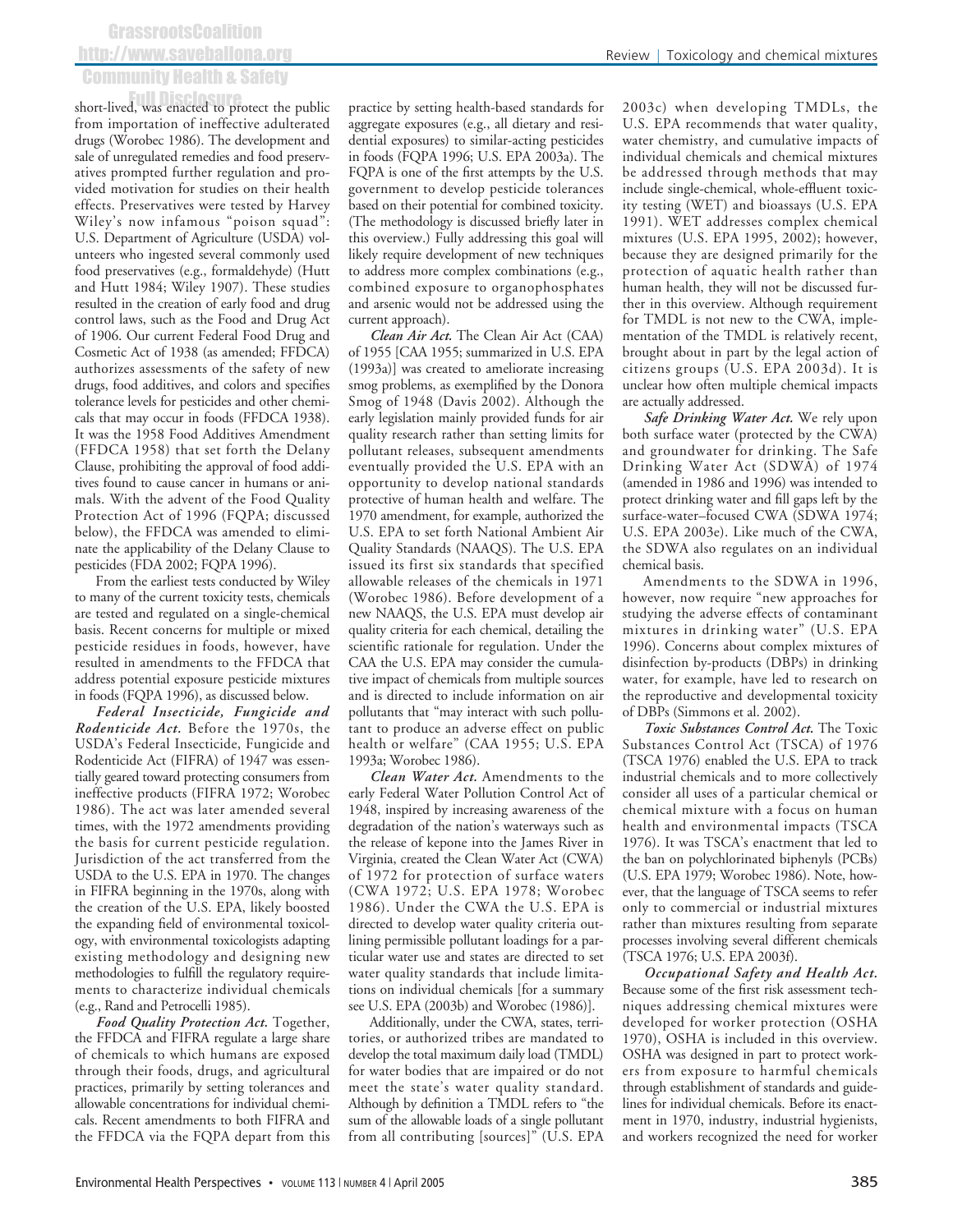## **GrassrootsCoalition** http://www.saveballona.org Community Health & Safety

short-lived, was enacted to protect the public from importation of ineffective adulterated drugs (Worobec 1986). The development and sale of unregulated remedies and food preservatives prompted further regulation and provided motivation for studies on their health effects. Preservatives were tested by Harvey Wiley's now infamous "poison squad": U.S. Department of Agriculture (USDA) volunteers who ingested several commonly used food preservatives (e.g., formaldehyde) (Hutt and Hutt 1984; Wiley 1907). These studies resulted in the creation of early food and drug control laws, such as the Food and Drug Act of 1906. Our current Federal Food Drug and Cosmetic Act of 1938 (as amended; FFDCA) authorizes assessments of the safety of new drugs, food additives, and colors and specifies tolerance levels for pesticides and other chemicals that may occur in foods (FFDCA 1938). It was the 1958 Food Additives Amendment (FFDCA 1958) that set forth the Delany Clause, prohibiting the approval of food additives found to cause cancer in humans or animals. With the advent of the Food Quality Protection Act of 1996 (FQPA; discussed below), the FFDCA was amended to eliminate the applicability of the Delany Clause to pesticides (FDA 2002; FQPA 1996).

From the earliest tests conducted by Wiley to many of the current toxicity tests, chemicals are tested and regulated on a single-chemical basis. Recent concerns for multiple or mixed pesticide residues in foods, however, have resulted in amendments to the FFDCA that address potential exposure pesticide mixtures in foods (FQPA 1996), as discussed below.

*Federal Insecticide, Fungicide and Rodenticide Act.* Before the 1970s, the USDA's Federal Insecticide, Fungicide and Rodenticide Act (FIFRA) of 1947 was essentially geared toward protecting consumers from ineffective products (FIFRA 1972; Worobec 1986). The act was later amended several times, with the 1972 amendments providing the basis for current pesticide regulation. Jurisdiction of the act transferred from the USDA to the U.S. EPA in 1970. The changes in FIFRA beginning in the 1970s, along with the creation of the U.S. EPA, likely boosted the expanding field of environmental toxicology, with environmental toxicologists adapting existing methodology and designing new methodologies to fulfill the regulatory requirements to characterize individual chemicals (e.g., Rand and Petrocelli 1985).

*Food Quality Protection Act.* Together, the FFDCA and FIFRA regulate a large share of chemicals to which humans are exposed through their foods, drugs, and agricultural practices, primarily by setting tolerances and allowable concentrations for individual chemicals. Recent amendments to both FIFRA and the FFDCA via the FQPA depart from this

practice by setting health-based standards for aggregate exposures (e.g., all dietary and residential exposures) to similar-acting pesticides in foods (FQPA 1996; U.S. EPA 2003a). The FQPA is one of the first attempts by the U.S. government to develop pesticide tolerances based on their potential for combined toxicity. (The methodology is discussed briefly later in this overview.) Fully addressing this goal will likely require development of new techniques to address more complex combinations (e.g., combined exposure to organophosphates and arsenic would not be addressed using the current approach).

*Clean Air Act.* The Clean Air Act (CAA) of 1955 [CAA 1955; summarized in U.S. EPA (1993a)] was created to ameliorate increasing smog problems, as exemplified by the Donora Smog of 1948 (Davis 2002). Although the early legislation mainly provided funds for air quality research rather than setting limits for pollutant releases, subsequent amendments eventually provided the U.S. EPA with an opportunity to develop national standards protective of human health and welfare. The 1970 amendment, for example, authorized the U.S. EPA to set forth National Ambient Air Quality Standards (NAAQS). The U.S. EPA issued its first six standards that specified allowable releases of the chemicals in 1971 (Worobec 1986). Before development of a new NAAQS, the U.S. EPA must develop air quality criteria for each chemical, detailing the scientific rationale for regulation. Under the CAA the U.S. EPA may consider the cumulative impact of chemicals from multiple sources and is directed to include information on air pollutants that "may interact with such pollutant to produce an adverse effect on public health or welfare" (CAA 1955; U.S. EPA 1993a; Worobec 1986).

*Clean Water Act.* Amendments to the early Federal Water Pollution Control Act of 1948, inspired by increasing awareness of the degradation of the nation's waterways such as the release of kepone into the James River in Virginia, created the Clean Water Act (CWA) of 1972 for protection of surface waters (CWA 1972; U.S. EPA 1978; Worobec 1986). Under the CWA the U.S. EPA is directed to develop water quality criteria outlining permissible pollutant loadings for a particular water use and states are directed to set water quality standards that include limitations on individual chemicals [for a summary see U.S. EPA (2003b) and Worobec (1986)].

Additionally, under the CWA, states, territories, or authorized tribes are mandated to develop the total maximum daily load (TMDL) for water bodies that are impaired or do not meet the state's water quality standard. Although by definition a TMDL refers to "the sum of the allowable loads of a single pollutant from all contributing [sources]" (U.S. EPA

2003c) when developing TMDLs, the U.S. EPA recommends that water quality, water chemistry, and cumulative impacts of individual chemicals and chemical mixtures be addressed through methods that may include single-chemical, whole-effluent toxicity testing (WET) and bioassays (U.S. EPA 1991). WET addresses complex chemical mixtures (U.S. EPA 1995, 2002); however, because they are designed primarily for the protection of aquatic health rather than human health, they will not be discussed further in this overview. Although requirement for TMDL is not new to the CWA, implementation of the TMDL is relatively recent, brought about in part by the legal action of citizens groups (U.S. EPA 2003d). It is unclear how often multiple chemical impacts are actually addressed.

*Safe Drinking Water Act.* We rely upon both surface water (protected by the CWA) and groundwater for drinking. The Safe Drinking Water Act (SDWA) of 1974 (amended in 1986 and 1996) was intended to protect drinking water and fill gaps left by the surface-water–focused CWA (SDWA 1974; U.S. EPA 2003e). Like much of the CWA, the SDWA also regulates on an individual chemical basis.

Amendments to the SDWA in 1996, however, now require "new approaches for studying the adverse effects of contaminant mixtures in drinking water" (U.S. EPA 1996). Concerns about complex mixtures of disinfection by-products (DBPs) in drinking water, for example, have led to research on the reproductive and developmental toxicity of DBPs (Simmons et al. 2002).

*Toxic Substances Control Act.* The Toxic Substances Control Act (TSCA) of 1976 (TSCA 1976) enabled the U.S. EPA to track industrial chemicals and to more collectively consider all uses of a particular chemical or chemical mixture with a focus on human health and environmental impacts (TSCA 1976). It was TSCA's enactment that led to the ban on polychlorinated biphenyls (PCBs) (U.S. EPA 1979; Worobec 1986). Note, however, that the language of TSCA seems to refer only to commercial or industrial mixtures rather than mixtures resulting from separate processes involving several different chemicals (TSCA 1976; U.S. EPA 2003f).

*Occupational Safety and Health Act.* Because some of the first risk assessment techniques addressing chemical mixtures were developed for worker protection (OSHA 1970), OSHA is included in this overview. OSHA was designed in part to protect workers from exposure to harmful chemicals through establishment of standards and guidelines for individual chemicals. Before its enactment in 1970, industry, industrial hygienists, and workers recognized the need for worker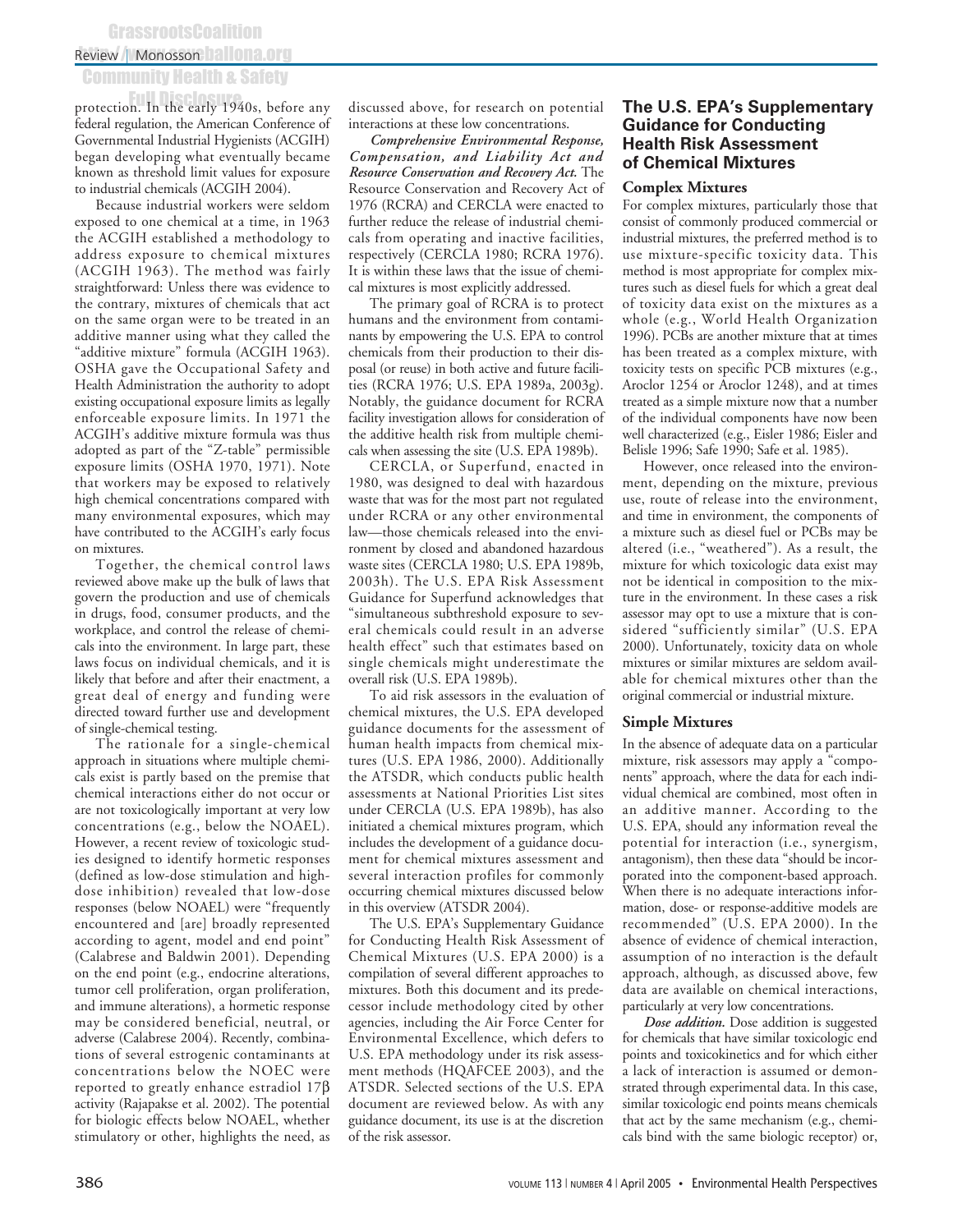## **GrassrootsCoalition**

## Review | Monosson hallona.org

## Community Health & Safety

protection. In the early 1940s, before any federal regulation, the American Conference of Governmental Industrial Hygienists (ACGIH) began developing what eventually became known as threshold limit values for exposure to industrial chemicals (ACGIH 2004).

Because industrial workers were seldom exposed to one chemical at a time, in 1963 the ACGIH established a methodology to address exposure to chemical mixtures (ACGIH 1963). The method was fairly straightforward: Unless there was evidence to the contrary, mixtures of chemicals that act on the same organ were to be treated in an additive manner using what they called the "additive mixture" formula (ACGIH 1963). OSHA gave the Occupational Safety and Health Administration the authority to adopt existing occupational exposure limits as legally enforceable exposure limits. In 1971 the ACGIH's additive mixture formula was thus adopted as part of the "Z-table" permissible exposure limits (OSHA 1970, 1971). Note that workers may be exposed to relatively high chemical concentrations compared with many environmental exposures, which may have contributed to the ACGIH's early focus on mixtures.

Together, the chemical control laws reviewed above make up the bulk of laws that govern the production and use of chemicals in drugs, food, consumer products, and the workplace, and control the release of chemicals into the environment. In large part, these laws focus on individual chemicals, and it is likely that before and after their enactment, a great deal of energy and funding were directed toward further use and development of single-chemical testing.

The rationale for a single-chemical approach in situations where multiple chemicals exist is partly based on the premise that chemical interactions either do not occur or are not toxicologically important at very low concentrations (e.g., below the NOAEL). However, a recent review of toxicologic studies designed to identify hormetic responses (defined as low-dose stimulation and highdose inhibition) revealed that low-dose responses (below NOAEL) were "frequently encountered and [are] broadly represented according to agent, model and end point" (Calabrese and Baldwin 2001). Depending on the end point (e.g., endocrine alterations, tumor cell proliferation, organ proliferation, and immune alterations), a hormetic response may be considered beneficial, neutral, or adverse (Calabrese 2004). Recently, combinations of several estrogenic contaminants at concentrations below the NOEC were reported to greatly enhance estradiol 17β activity (Rajapakse et al. 2002). The potential for biologic effects below NOAEL, whether stimulatory or other, highlights the need, as

discussed above, for research on potential interactions at these low concentrations.

*Comprehensive Environmental Response, Compensation, and Liability Act and Resource Conservation and Recovery Act.* The Resource Conservation and Recovery Act of 1976 (RCRA) and CERCLA were enacted to further reduce the release of industrial chemicals from operating and inactive facilities, respectively (CERCLA 1980; RCRA 1976). It is within these laws that the issue of chemical mixtures is most explicitly addressed.

The primary goal of RCRA is to protect humans and the environment from contaminants by empowering the U.S. EPA to control chemicals from their production to their disposal (or reuse) in both active and future facilities (RCRA 1976; U.S. EPA 1989a, 2003g). Notably, the guidance document for RCRA facility investigation allows for consideration of the additive health risk from multiple chemicals when assessing the site (U.S. EPA 1989b).

CERCLA, or Superfund, enacted in 1980, was designed to deal with hazardous waste that was for the most part not regulated under RCRA or any other environmental law—those chemicals released into the environment by closed and abandoned hazardous waste sites (CERCLA 1980; U.S. EPA 1989b, 2003h). The U.S. EPA Risk Assessment Guidance for Superfund acknowledges that "simultaneous subthreshold exposure to several chemicals could result in an adverse health effect" such that estimates based on single chemicals might underestimate the overall risk (U.S. EPA 1989b).

To aid risk assessors in the evaluation of chemical mixtures, the U.S. EPA developed guidance documents for the assessment of human health impacts from chemical mixtures (U.S. EPA 1986, 2000). Additionally the ATSDR, which conducts public health assessments at National Priorities List sites under CERCLA (U.S. EPA 1989b), has also initiated a chemical mixtures program, which includes the development of a guidance document for chemical mixtures assessment and several interaction profiles for commonly occurring chemical mixtures discussed below in this overview (ATSDR 2004).

The U.S. EPA's Supplementary Guidance for Conducting Health Risk Assessment of Chemical Mixtures (U.S. EPA 2000) is a compilation of several different approaches to mixtures. Both this document and its predecessor include methodology cited by other agencies, including the Air Force Center for Environmental Excellence, which defers to U.S. EPA methodology under its risk assessment methods (HQAFCEE 2003), and the ATSDR. Selected sections of the U.S. EPA document are reviewed below. As with any guidance document, its use is at the discretion of the risk assessor.

### **The U.S. EPA's Supplementary Guidance for Conducting Health Risk Assessment of Chemical Mixtures**

### **Complex Mixtures**

For complex mixtures, particularly those that consist of commonly produced commercial or industrial mixtures, the preferred method is to use mixture-specific toxicity data. This method is most appropriate for complex mixtures such as diesel fuels for which a great deal of toxicity data exist on the mixtures as a whole (e.g., World Health Organization 1996). PCBs are another mixture that at times has been treated as a complex mixture, with toxicity tests on specific PCB mixtures (e.g., Aroclor 1254 or Aroclor 1248), and at times treated as a simple mixture now that a number of the individual components have now been well characterized (e.g., Eisler 1986; Eisler and Belisle 1996; Safe 1990; Safe et al. 1985).

However, once released into the environment, depending on the mixture, previous use, route of release into the environment, and time in environment, the components of a mixture such as diesel fuel or PCBs may be altered (i.e., "weathered"). As a result, the mixture for which toxicologic data exist may not be identical in composition to the mixture in the environment. In these cases a risk assessor may opt to use a mixture that is considered "sufficiently similar" (U.S. EPA 2000). Unfortunately, toxicity data on whole mixtures or similar mixtures are seldom available for chemical mixtures other than the original commercial or industrial mixture.

### **Simple Mixtures**

In the absence of adequate data on a particular mixture, risk assessors may apply a "components" approach, where the data for each individual chemical are combined, most often in an additive manner. According to the U.S. EPA, should any information reveal the potential for interaction (i.e., synergism, antagonism), then these data "should be incorporated into the component-based approach. When there is no adequate interactions information, dose- or response-additive models are recommended" (U.S. EPA 2000). In the absence of evidence of chemical interaction, assumption of no interaction is the default approach, although, as discussed above, few data are available on chemical interactions, particularly at very low concentrations.

*Dose addition.* Dose addition is suggested for chemicals that have similar toxicologic end points and toxicokinetics and for which either a lack of interaction is assumed or demonstrated through experimental data. In this case, similar toxicologic end points means chemicals that act by the same mechanism (e.g., chemicals bind with the same biologic receptor) or,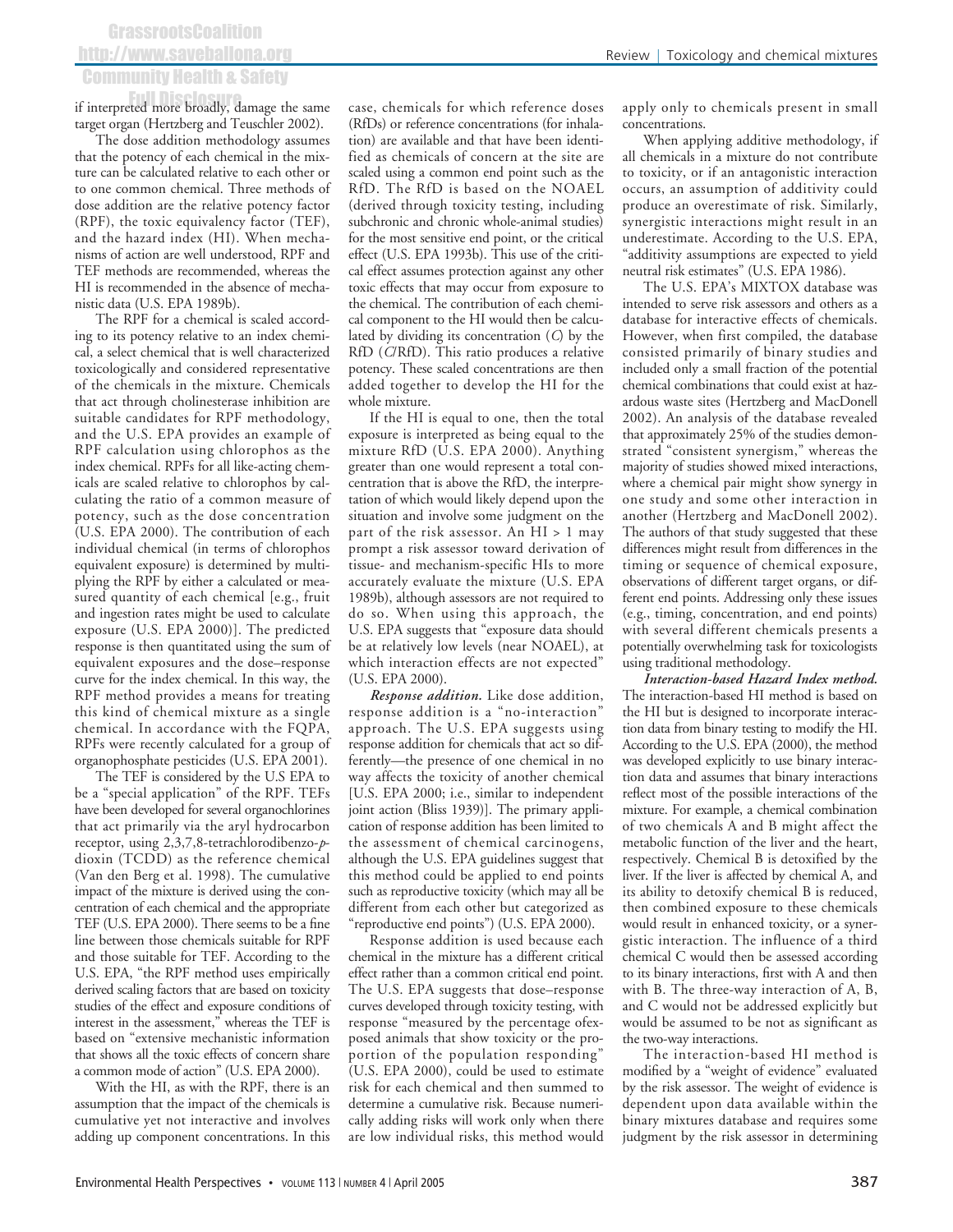#### Review <sup>|</sup> Toxicology and chemical mixtures

## **GrassrootsCoalition** http://www.saveballona.org Community Health & Safety

if interpreted more broadly, damage the same target organ (Hertzberg and Teuschler 2002).

The dose addition methodology assumes that the potency of each chemical in the mixture can be calculated relative to each other or to one common chemical. Three methods of dose addition are the relative potency factor (RPF), the toxic equivalency factor (TEF), and the hazard index (HI). When mechanisms of action are well understood, RPF and TEF methods are recommended, whereas the HI is recommended in the absence of mechanistic data (U.S. EPA 1989b).

The RPF for a chemical is scaled according to its potency relative to an index chemical, a select chemical that is well characterized toxicologically and considered representative of the chemicals in the mixture. Chemicals that act through cholinesterase inhibition are suitable candidates for RPF methodology, and the U.S. EPA provides an example of RPF calculation using chlorophos as the index chemical. RPFs for all like-acting chemicals are scaled relative to chlorophos by calculating the ratio of a common measure of potency, such as the dose concentration (U.S. EPA 2000). The contribution of each individual chemical (in terms of chlorophos equivalent exposure) is determined by multiplying the RPF by either a calculated or measured quantity of each chemical [e.g., fruit and ingestion rates might be used to calculate exposure (U.S. EPA 2000)]. The predicted response is then quantitated using the sum of equivalent exposures and the dose–response curve for the index chemical. In this way, the RPF method provides a means for treating this kind of chemical mixture as a single chemical. In accordance with the FQPA, RPFs were recently calculated for a group of organophosphate pesticides (U.S. EPA 2001).

The TEF is considered by the U.S EPA to be a "special application" of the RPF. TEFs have been developed for several organochlorines that act primarily via the aryl hydrocarbon receptor, using 2,3,7,8-tetrachlorodibenzo-*p*dioxin (TCDD) as the reference chemical (Van den Berg et al. 1998). The cumulative impact of the mixture is derived using the concentration of each chemical and the appropriate TEF (U.S. EPA 2000). There seems to be a fine line between those chemicals suitable for RPF and those suitable for TEF. According to the U.S. EPA, "the RPF method uses empirically derived scaling factors that are based on toxicity studies of the effect and exposure conditions of interest in the assessment," whereas the TEF is based on "extensive mechanistic information that shows all the toxic effects of concern share a common mode of action" (U.S. EPA 2000).

With the HI, as with the RPF, there is an assumption that the impact of the chemicals is cumulative yet not interactive and involves adding up component concentrations. In this

case, chemicals for which reference doses (RfDs) or reference concentrations (for inhalation) are available and that have been identified as chemicals of concern at the site are scaled using a common end point such as the RfD. The RfD is based on the NOAEL (derived through toxicity testing, including subchronic and chronic whole-animal studies) for the most sensitive end point, or the critical effect (U.S. EPA 1993b). This use of the critical effect assumes protection against any other toxic effects that may occur from exposure to the chemical. The contribution of each chemical component to the HI would then be calculated by dividing its concentration (*C*) by the RfD (*C*/RfD). This ratio produces a relative potency. These scaled concentrations are then added together to develop the HI for the whole mixture.

If the HI is equal to one, then the total exposure is interpreted as being equal to the mixture RfD (U.S. EPA 2000). Anything greater than one would represent a total concentration that is above the RfD, the interpretation of which would likely depend upon the situation and involve some judgment on the part of the risk assessor. An HI > 1 may prompt a risk assessor toward derivation of tissue- and mechanism-specific HIs to more accurately evaluate the mixture (U.S. EPA 1989b), although assessors are not required to do so. When using this approach, the U.S. EPA suggests that "exposure data should be at relatively low levels (near NOAEL), at which interaction effects are not expected" (U.S. EPA 2000).

*Response addition.* Like dose addition, response addition is a "no-interaction" approach. The U.S. EPA suggests using response addition for chemicals that act so differently—the presence of one chemical in no way affects the toxicity of another chemical [U.S. EPA 2000; i.e., similar to independent joint action (Bliss 1939)]. The primary application of response addition has been limited to the assessment of chemical carcinogens, although the U.S. EPA guidelines suggest that this method could be applied to end points such as reproductive toxicity (which may all be different from each other but categorized as "reproductive end points") (U.S. EPA 2000).

Response addition is used because each chemical in the mixture has a different critical effect rather than a common critical end point. The U.S. EPA suggests that dose–response curves developed through toxicity testing, with response "measured by the percentage ofexposed animals that show toxicity or the proportion of the population responding" (U.S. EPA 2000), could be used to estimate risk for each chemical and then summed to determine a cumulative risk. Because numerically adding risks will work only when there are low individual risks, this method would

apply only to chemicals present in small concentrations.

When applying additive methodology, if all chemicals in a mixture do not contribute to toxicity, or if an antagonistic interaction occurs, an assumption of additivity could produce an overestimate of risk. Similarly, synergistic interactions might result in an underestimate. According to the U.S. EPA, "additivity assumptions are expected to yield neutral risk estimates" (U.S. EPA 1986).

The U.S. EPA's MIXTOX database was intended to serve risk assessors and others as a database for interactive effects of chemicals. However, when first compiled, the database consisted primarily of binary studies and included only a small fraction of the potential chemical combinations that could exist at hazardous waste sites (Hertzberg and MacDonell 2002). An analysis of the database revealed that approximately 25% of the studies demonstrated "consistent synergism," whereas the majority of studies showed mixed interactions, where a chemical pair might show synergy in one study and some other interaction in another (Hertzberg and MacDonell 2002). The authors of that study suggested that these differences might result from differences in the timing or sequence of chemical exposure, observations of different target organs, or different end points. Addressing only these issues (e.g., timing, concentration, and end points) with several different chemicals presents a potentially overwhelming task for toxicologists using traditional methodology.

*Interaction-based Hazard Index method.* The interaction-based HI method is based on the HI but is designed to incorporate interaction data from binary testing to modify the HI. According to the U.S. EPA (2000), the method was developed explicitly to use binary interaction data and assumes that binary interactions reflect most of the possible interactions of the mixture. For example, a chemical combination of two chemicals A and B might affect the metabolic function of the liver and the heart, respectively. Chemical B is detoxified by the liver. If the liver is affected by chemical A, and its ability to detoxify chemical B is reduced, then combined exposure to these chemicals would result in enhanced toxicity, or a synergistic interaction. The influence of a third chemical C would then be assessed according to its binary interactions, first with A and then with B. The three-way interaction of A, B, and C would not be addressed explicitly but would be assumed to be not as significant as the two-way interactions.

The interaction-based HI method is modified by a "weight of evidence" evaluated by the risk assessor. The weight of evidence is dependent upon data available within the binary mixtures database and requires some judgment by the risk assessor in determining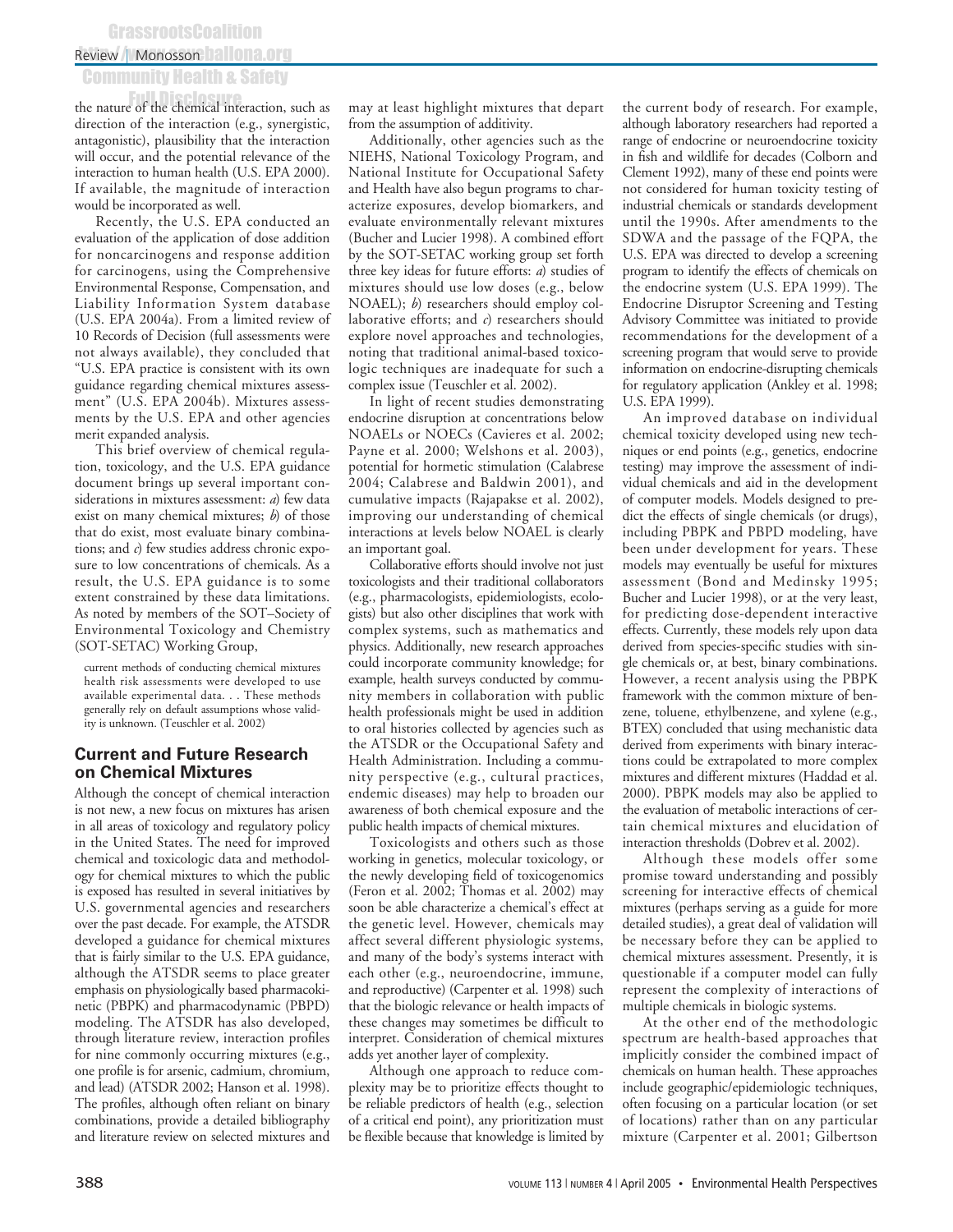## **GrassrootsCoalition**

## Review | Monosson hallona.org

## Community Health & Safety

the nature of the chemical interaction, such as direction of the interaction (e.g., synergistic, antagonistic), plausibility that the interaction will occur, and the potential relevance of the interaction to human health (U.S. EPA 2000). If available, the magnitude of interaction would be incorporated as well.

Recently, the U.S. EPA conducted an evaluation of the application of dose addition for noncarcinogens and response addition for carcinogens, using the Comprehensive Environmental Response, Compensation, and Liability Information System database (U.S. EPA 2004a). From a limited review of 10 Records of Decision (full assessments were not always available), they concluded that "U.S. EPA practice is consistent with its own guidance regarding chemical mixtures assessment" (U.S. EPA 2004b). Mixtures assessments by the U.S. EPA and other agencies merit expanded analysis.

This brief overview of chemical regulation, toxicology, and the U.S. EPA guidance document brings up several important considerations in mixtures assessment: *a*) few data exist on many chemical mixtures; *b*) of those that do exist, most evaluate binary combinations; and *c*) few studies address chronic exposure to low concentrations of chemicals. As a result, the U.S. EPA guidance is to some extent constrained by these data limitations. As noted by members of the SOT–Society of Environmental Toxicology and Chemistry (SOT-SETAC) Working Group,

current methods of conducting chemical mixtures health risk assessments were developed to use available experimental data. . . These methods generally rely on default assumptions whose validity is unknown. (Teuschler et al. 2002)

### **Current and Future Research on Chemical Mixtures**

Although the concept of chemical interaction is not new, a new focus on mixtures has arisen in all areas of toxicology and regulatory policy in the United States. The need for improved chemical and toxicologic data and methodology for chemical mixtures to which the public is exposed has resulted in several initiatives by U.S. governmental agencies and researchers over the past decade. For example, the ATSDR developed a guidance for chemical mixtures that is fairly similar to the U.S. EPA guidance, although the ATSDR seems to place greater emphasis on physiologically based pharmacokinetic (PBPK) and pharmacodynamic (PBPD) modeling. The ATSDR has also developed, through literature review, interaction profiles for nine commonly occurring mixtures (e.g., one profile is for arsenic, cadmium, chromium, and lead) (ATSDR 2002; Hanson et al. 1998). The profiles, although often reliant on binary combinations, provide a detailed bibliography and literature review on selected mixtures and

may at least highlight mixtures that depart from the assumption of additivity.

Additionally, other agencies such as the NIEHS, National Toxicology Program, and National Institute for Occupational Safety and Health have also begun programs to characterize exposures, develop biomarkers, and evaluate environmentally relevant mixtures (Bucher and Lucier 1998). A combined effort by the SOT-SETAC working group set forth three key ideas for future efforts: *a*) studies of mixtures should use low doses (e.g., below NOAEL); *b*) researchers should employ collaborative efforts; and *c*) researchers should explore novel approaches and technologies, noting that traditional animal-based toxicologic techniques are inadequate for such a complex issue (Teuschler et al. 2002).

In light of recent studies demonstrating endocrine disruption at concentrations below NOAELs or NOECs (Cavieres et al. 2002; Payne et al. 2000; Welshons et al. 2003), potential for hormetic stimulation (Calabrese 2004; Calabrese and Baldwin 2001), and cumulative impacts (Rajapakse et al. 2002), improving our understanding of chemical interactions at levels below NOAEL is clearly an important goal.

Collaborative efforts should involve not just toxicologists and their traditional collaborators (e.g., pharmacologists, epidemiologists, ecologists) but also other disciplines that work with complex systems, such as mathematics and physics. Additionally, new research approaches could incorporate community knowledge; for example, health surveys conducted by community members in collaboration with public health professionals might be used in addition to oral histories collected by agencies such as the ATSDR or the Occupational Safety and Health Administration. Including a community perspective (e.g., cultural practices, endemic diseases) may help to broaden our awareness of both chemical exposure and the public health impacts of chemical mixtures.

Toxicologists and others such as those working in genetics, molecular toxicology, or the newly developing field of toxicogenomics (Feron et al. 2002; Thomas et al. 2002) may soon be able characterize a chemical's effect at the genetic level. However, chemicals may affect several different physiologic systems, and many of the body's systems interact with each other (e.g., neuroendocrine, immune, and reproductive) (Carpenter et al. 1998) such that the biologic relevance or health impacts of these changes may sometimes be difficult to interpret. Consideration of chemical mixtures adds yet another layer of complexity.

Although one approach to reduce complexity may be to prioritize effects thought to be reliable predictors of health (e.g., selection of a critical end point), any prioritization must be flexible because that knowledge is limited by

the current body of research. For example, although laboratory researchers had reported a range of endocrine or neuroendocrine toxicity in fish and wildlife for decades (Colborn and Clement 1992), many of these end points were not considered for human toxicity testing of industrial chemicals or standards development until the 1990s. After amendments to the SDWA and the passage of the FQPA, the U.S. EPA was directed to develop a screening program to identify the effects of chemicals on the endocrine system (U.S. EPA 1999). The Endocrine Disruptor Screening and Testing Advisory Committee was initiated to provide recommendations for the development of a screening program that would serve to provide information on endocrine-disrupting chemicals for regulatory application (Ankley et al. 1998; U.S. EPA 1999).

An improved database on individual chemical toxicity developed using new techniques or end points (e.g., genetics, endocrine testing) may improve the assessment of individual chemicals and aid in the development of computer models. Models designed to predict the effects of single chemicals (or drugs), including PBPK and PBPD modeling, have been under development for years. These models may eventually be useful for mixtures assessment (Bond and Medinsky 1995; Bucher and Lucier 1998), or at the very least, for predicting dose-dependent interactive effects. Currently, these models rely upon data derived from species-specific studies with single chemicals or, at best, binary combinations. However, a recent analysis using the PBPK framework with the common mixture of benzene, toluene, ethylbenzene, and xylene (e.g., BTEX) concluded that using mechanistic data derived from experiments with binary interactions could be extrapolated to more complex mixtures and different mixtures (Haddad et al. 2000). PBPK models may also be applied to the evaluation of metabolic interactions of certain chemical mixtures and elucidation of interaction thresholds (Dobrev et al. 2002).

Although these models offer some promise toward understanding and possibly screening for interactive effects of chemical mixtures (perhaps serving as a guide for more detailed studies), a great deal of validation will be necessary before they can be applied to chemical mixtures assessment. Presently, it is questionable if a computer model can fully represent the complexity of interactions of multiple chemicals in biologic systems.

At the other end of the methodologic spectrum are health-based approaches that implicitly consider the combined impact of chemicals on human health. These approaches include geographic/epidemiologic techniques, often focusing on a particular location (or set of locations) rather than on any particular mixture (Carpenter et al. 2001; Gilbertson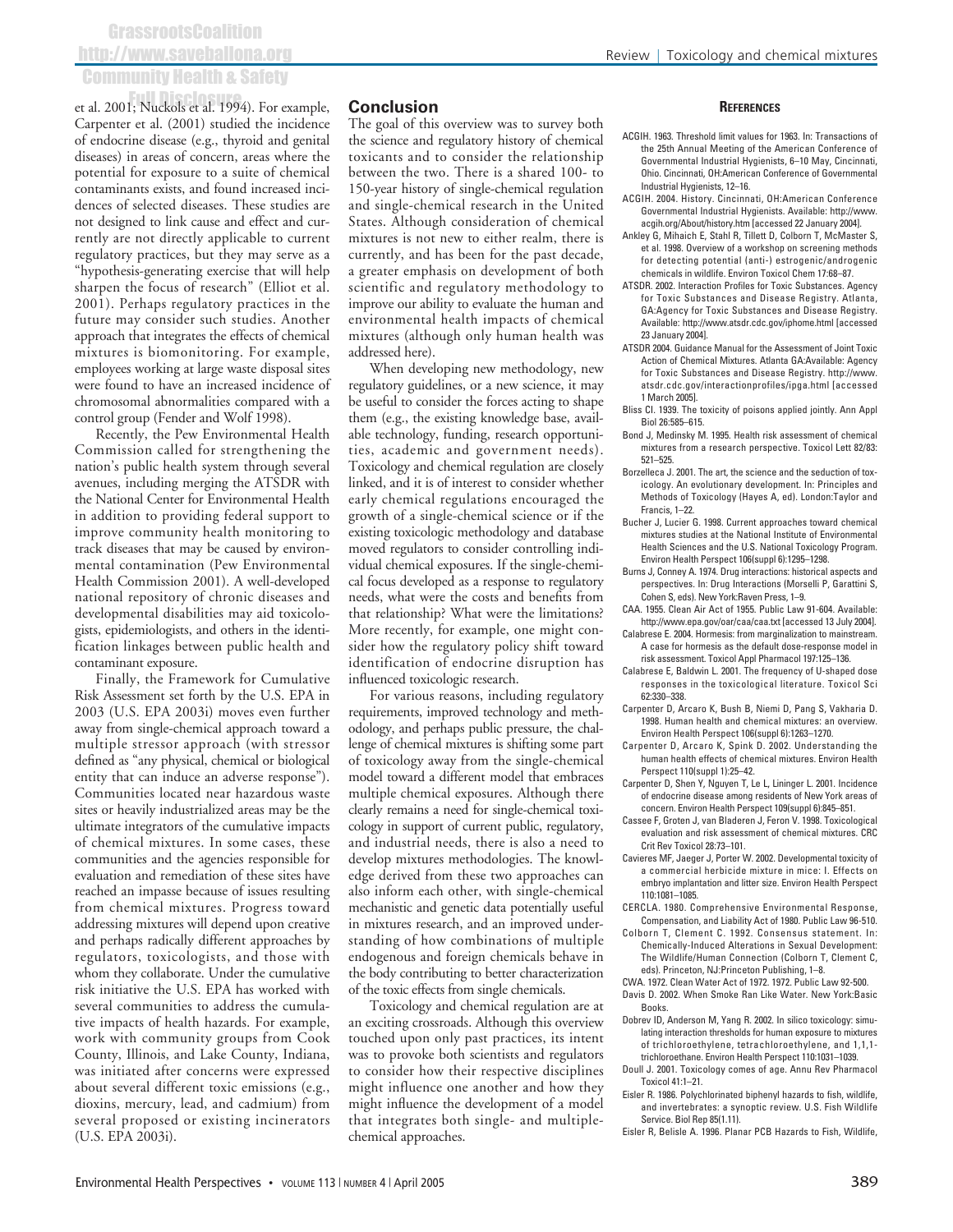et al. 2001; Nuckols et al. 1994). For example, Carpenter et al. (2001) studied the incidence of endocrine disease (e.g., thyroid and genital diseases) in areas of concern, areas where the potential for exposure to a suite of chemical contaminants exists, and found increased incidences of selected diseases. These studies are not designed to link cause and effect and currently are not directly applicable to current regulatory practices, but they may serve as a "hypothesis-generating exercise that will help sharpen the focus of research" (Elliot et al. 2001). Perhaps regulatory practices in the future may consider such studies. Another approach that integrates the effects of chemical mixtures is biomonitoring. For example, employees working at large waste disposal sites were found to have an increased incidence of chromosomal abnormalities compared with a control group (Fender and Wolf 1998).

Recently, the Pew Environmental Health Commission called for strengthening the nation's public health system through several avenues, including merging the ATSDR with the National Center for Environmental Health in addition to providing federal support to improve community health monitoring to track diseases that may be caused by environmental contamination (Pew Environmental Health Commission 2001). A well-developed national repository of chronic diseases and developmental disabilities may aid toxicologists, epidemiologists, and others in the identification linkages between public health and contaminant exposure.

Finally, the Framework for Cumulative Risk Assessment set forth by the U.S. EPA in 2003 (U.S. EPA 2003i) moves even further away from single-chemical approach toward a multiple stressor approach (with stressor defined as "any physical, chemical or biological entity that can induce an adverse response"). Communities located near hazardous waste sites or heavily industrialized areas may be the ultimate integrators of the cumulative impacts of chemical mixtures. In some cases, these communities and the agencies responsible for evaluation and remediation of these sites have reached an impasse because of issues resulting from chemical mixtures. Progress toward addressing mixtures will depend upon creative and perhaps radically different approaches by regulators, toxicologists, and those with whom they collaborate. Under the cumulative risk initiative the U.S. EPA has worked with several communities to address the cumulative impacts of health hazards. For example, work with community groups from Cook County, Illinois, and Lake County, Indiana, was initiated after concerns were expressed about several different toxic emissions (e.g., dioxins, mercury, lead, and cadmium) from several proposed or existing incinerators (U.S. EPA 2003i).

### **Conclusion**

The goal of this overview was to survey both the science and regulatory history of chemical toxicants and to consider the relationship between the two. There is a shared 100- to 150-year history of single-chemical regulation and single-chemical research in the United States. Although consideration of chemical mixtures is not new to either realm, there is currently, and has been for the past decade, a greater emphasis on development of both scientific and regulatory methodology to improve our ability to evaluate the human and environmental health impacts of chemical mixtures (although only human health was addressed here).

When developing new methodology, new regulatory guidelines, or a new science, it may be useful to consider the forces acting to shape them (e.g., the existing knowledge base, available technology, funding, research opportunities, academic and government needs). Toxicology and chemical regulation are closely linked, and it is of interest to consider whether early chemical regulations encouraged the growth of a single-chemical science or if the existing toxicologic methodology and database moved regulators to consider controlling individual chemical exposures. If the single-chemical focus developed as a response to regulatory needs, what were the costs and benefits from that relationship? What were the limitations? More recently, for example, one might consider how the regulatory policy shift toward identification of endocrine disruption has influenced toxicologic research.

For various reasons, including regulatory requirements, improved technology and methodology, and perhaps public pressure, the challenge of chemical mixtures is shifting some part of toxicology away from the single-chemical model toward a different model that embraces multiple chemical exposures. Although there clearly remains a need for single-chemical toxicology in support of current public, regulatory, and industrial needs, there is also a need to develop mixtures methodologies. The knowledge derived from these two approaches can also inform each other, with single-chemical mechanistic and genetic data potentially useful in mixtures research, and an improved understanding of how combinations of multiple endogenous and foreign chemicals behave in the body contributing to better characterization of the toxic effects from single chemicals.

Toxicology and chemical regulation are at an exciting crossroads. Although this overview touched upon only past practices, its intent was to provoke both scientists and regulators to consider how their respective disciplines might influence one another and how they might influence the development of a model that integrates both single- and multiplechemical approaches.

#### **REFERENCES**

- ACGIH. 1963. Threshold limit values for 1963. In: Transactions of the 25th Annual Meeting of the American Conference of Governmental Industrial Hygienists, 6–10 May, Cincinnati, Ohio. Cincinnati, OH:American Conference of Governmental Industrial Hygienists, 12–16.
- ACGIH. 2004. History. Cincinnati, OH:American Conference acgih.org/About/history.htm [accessed 22 January 2004]. Governmental Industrial Hygienists. Available: http://www.
- Ankley G, Mihaich E, Stahl R, Tillett D, Colborn T, McMaster S, et al. 1998. Overview of a workshop on screening methods for detecting potential (anti-) estrogenic/androgenic chemicals in wildlife. Environ Toxicol Chem 17:68–87.
- ATSDR. 2002. Interaction Profiles for Toxic Substances. Agency for Toxic Substances and Disease Registry. Atlanta, GA:Agency for Toxic Substances and Disease Registry. Available: http://www.atsdr.cdc.gov/iphome.html [accessed 23 January 2004].
- ATSDR 2004. Guidance Manual for the Assessment of Joint Toxic Action of Chemical Mixtures. Atlanta GA:Available: Agency for Toxic Substances and Disease Registry. http://www. atsdr.cdc.gov/interactionprofiles/ipga.html [accessed 1 March 2005].
- Bliss CI. 1939. The toxicity of poisons applied jointly. Ann Appl Biol 26:585–615.
- Bond J, Medinsky M. 1995. Health risk assessment of chemical mixtures from a research perspective. Toxicol Lett 82/83: 521–525.
- Borzelleca J. 2001. The art, the science and the seduction of toxicology. An evolutionary development. In: Principles and Methods of Toxicology (Hayes A, ed). London:Taylor and Francis, 1–22.
- Bucher J, Lucier G. 1998. Current approaches toward chemical mixtures studies at the National Institute of Environmental Health Sciences and the U.S. National Toxicology Program. Environ Health Perspect 106(suppl 6):1295–1298.
- Burns J, Conney A. 1974. Drug interactions: historical aspects and perspectives. In: Drug Interactions (Morselli P, Garattini S, Cohen S, eds). New York:Raven Press, 1–9.
- CAA. 1955. Clean Air Act of 1955. Public Law 91-604. Available: http://www.epa.gov/oar/caa/caa.txt [accessed 13 July 2004].
- Calabrese E. 2004. Hormesis: from marginalization to mainstream. A case for hormesis as the default dose-response model in risk assessment. Toxicol Appl Pharmacol 197:125–136.
- Calabrese E, Baldwin L. 2001. The frequency of U-shaped dose responses in the toxicological literature. Toxicol Sci 62:330–338.
- Carpenter D, Arcaro K, Bush B, Niemi D, Pang S, Vakharia D. 1998. Human health and chemical mixtures: an overview. Environ Health Perspect 106(suppl 6):1263–1270.
- Carpenter D, Arcaro K, Spink D. 2002. Understanding the human health effects of chemical mixtures. Environ Health Perspect 110(suppl 1):25–42.
- Carpenter D, Shen Y, Nguyen T, Le L, Lininger L. 2001. Incidence of endocrine disease among residents of New York areas of concern. Environ Health Perspect 109(suppl 6):845–851.
- Cassee F, Groten J, van Bladeren J, Feron V. 1998. Toxicological evaluation and risk assessment of chemical mixtures. CRC Crit Rev Toxicol 28:73–101.
- Cavieres MF, Jaeger J, Porter W. 2002. Developmental toxicity of a commercial herbicide mixture in mice: I. Effects on embryo implantation and litter size. Environ Health Perspect 110:1081–1085.
- CERCLA. 1980. Comprehensive Environmental Response, Compensation, and Liability Act of 1980. Public Law 96-510.
- Colborn T, Clement C. 1992. Consensus statement. In: Chemically-Induced Alterations in Sexual Development: The Wildlife/Human Connection (Colborn T, Clement C, eds). Princeton, NJ:Princeton Publishing, 1–8.
- CWA. 1972. Clean Water Act of 1972. 1972. Public Law 92-500.
- Davis D. 2002. When Smoke Ran Like Water. New York:Basic Books.
- Dobrev ID, Anderson M, Yang R. 2002. In silico toxicology: simulating interaction thresholds for human exposure to mixtures of trichloroethylene, tetrachloroethylene, and 1,1,1 trichloroethane. Environ Health Perspect 110:1031–1039.
- Doull J. 2001. Toxicology comes of age. Annu Rev Pharmacol Toxicol 41:1–21.
- Eisler R. 1986. Polychlorinated biphenyl hazards to fish, wildlife, and invertebrates: a synoptic review. U.S. Fish Wildlife Service. Biol Rep 85(1.11).
- Eisler R, Belisle A. 1996. Planar PCB Hazards to Fish, Wildlife,